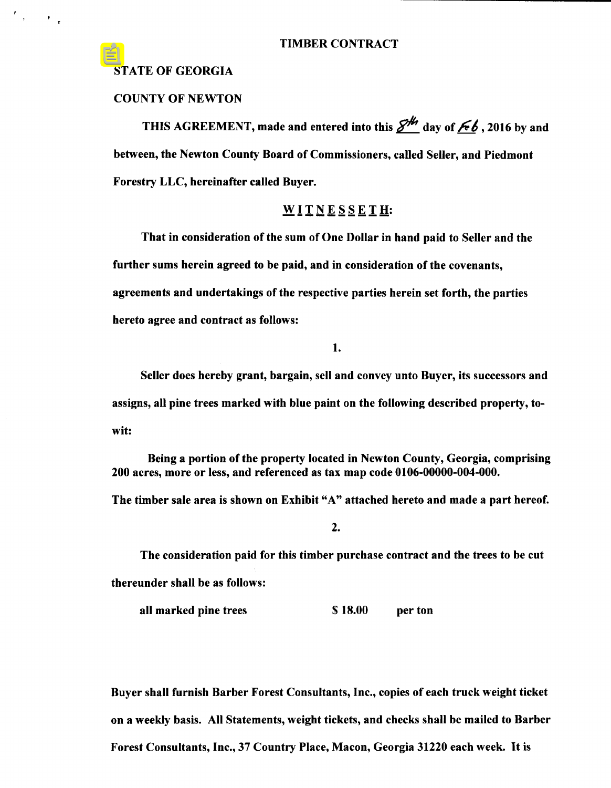## STATE OF GEORGIA

r

t

# COUNTY OF NEWTON

THIS AGREEMENT, made and entered into this  $\mathcal{S}^{\mathcal{H}}$  day of  $\mathcal{F}6$ , 2016 by and between, the Newton County Board of Commissioners, called Seller, and Piedmont Forestry LLC, hereinafter called Buyer.

## WITNESSETH:

That in consideration of the sum of One Dollar in hand paid to Seller and the further sums herein agreed to be paid, and in consideration of the covenants, agreements and undertakings of the respective parties herein set forth, the parties hereto agree and contract as follows:

1.

Seller does hereby grant, bargain, sell and convey unto Buyer, its successors and assigns, all pine trees marked with blue paint on the following described property, towit:

Being a portion of the property located in Newton County, Georgia, comprising 200 acres, more or less, and referenced as tax map code 0106-00000-004-000.

The timber sale area is shown on Exhibit "A" attached hereto and made a part hereof.

2.

The consideration paid for this timber purchase contract and the trees to be cut thereunder shall be as follows:

all marked pine trees \$18.00 per ton

Buyer shall furnish Barber Forest Consultants, Inc., copies of each truck weight ticket on <sup>a</sup> weekly basis. All Statements, weight tickets, and checks shall be mailed to Barber Forest Consultants, Inc., <sup>37</sup> Country Place, Macon, Georgia <sup>31220</sup> each week. It is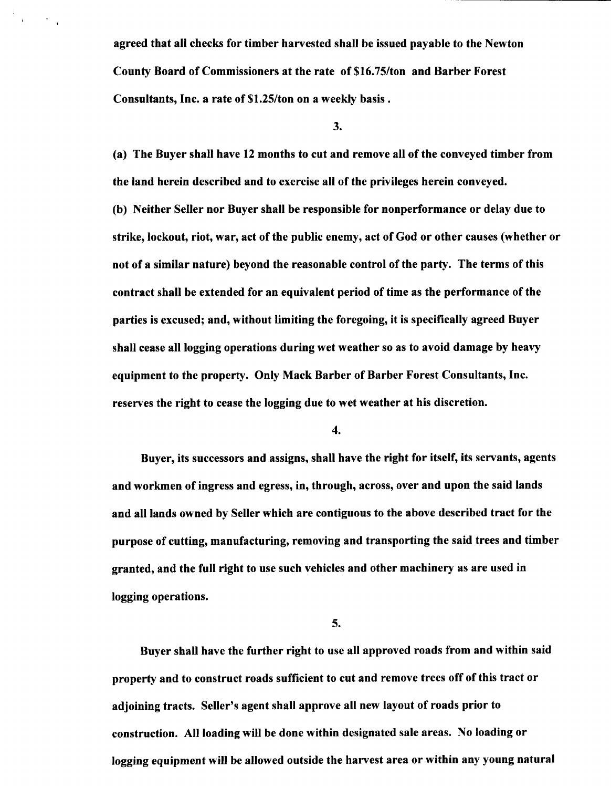agreed that all checks for timber harvested shall be issued payable to the Newton County Board of Commissioners at the rate of \$16.75/ton and Barber Forest Consultants, Inc. a rate of \$1.25/ton on a weekly basis.

r

 $\mathbf{A}$  .

3.

a) The Buyer shall have 12 months to cut and remove all of the conveyed timber from the land herein described and to exercise all of the privileges herein conveyed. b) Neither Seller nor Buyer shall be responsible for nonperformance or delay due to strike, lockout, riot, war, act of the public enemy, act of God or other causes ( whether or not of a similar nature) beyond the reasonable control of the party. The terms of this contract shall be extended for an equivalent period of time as the performance of the parties is excused; and, without limiting the foregoing, it is specifically agreed Buyer shall cease all logging operations during wet weather so as to avoid damage by heavy equipment to the property. Only Mack Barber of Barber Forest Consultants, Inc. reserves the right to cease the logging due to wet weather at his discretion.

4.

Buyer, its successors and assigns, shall have the right for itself, its servants, agents and workmen of ingress and egress, in, through, across, over and upon the said lands and all lands owned by Seller which are contiguous to the above described tract for the purpose of cutting, manufacturing, removing and transporting the said trees and timber granted, and the full right to use such vehicles and other machinery as are used in logging operations.

5.

Buyer shall have the further right to use all approved roads from and within said property and to construct roads sufficient to cut and remove trees off of this tract or adjoining tracts. Seller's agent shall approve all new layout of roads prior to construction. All loading will be done within designated sale areas. No loading or logging equipment will be allowed outside the harvest area or within any young natural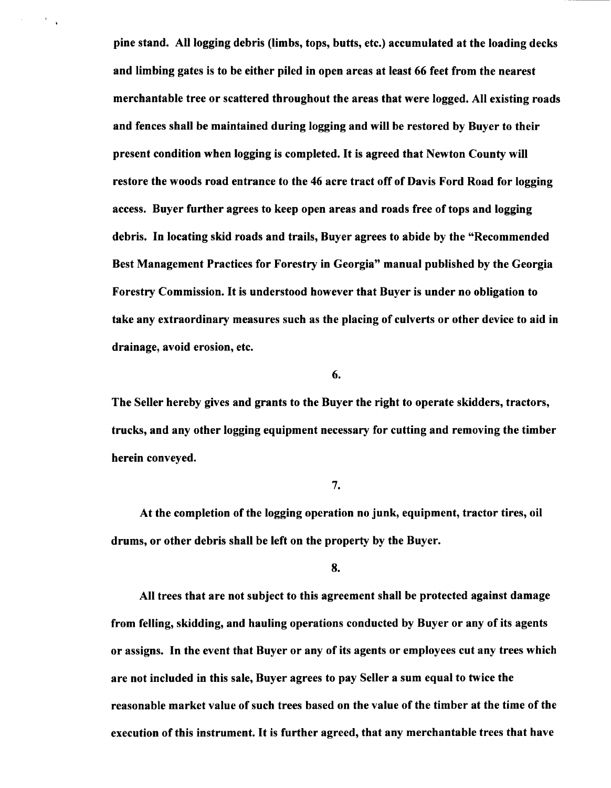pine stand. All logging debris (limbs, tops, butts, etc.) accumulated at the loading decks and limbing gates is to be either piled in open areas at least 66 feet from the nearest merchantable tree or scattered throughout the areas that were logged. All existing roads and fences shall be maintained during logging and will be restored by Buyer to their present condition when logging is completed. It is agreed that Newton County will restore the woods road entrance to the 46 acre tract off of Davis Ford Road for logging access. Buyer further agrees to keep open areas and roads free of tops and logging debris. In locating skid roads and trails, Buyer agrees to abide by the " Recommended Best Management Practices for Forestry in Georgia" manual published by the Georgia Forestry Commission. It is understood however that Buyer is under no obligation to take any extraordinary measures such as the placing of culverts or other device to aid in drainage, avoid erosion, etc.

 $\mathcal{F}_{\mathcal{F},\mathcal{F}}$ 

6.

The Seller hereby gives and grants to the Buyer the right to operate skidders, tractors, trucks, and any other logging equipment necessary for cutting and removing the timber herein conveyed.

7.

At the completion of the logging operation no junk, equipment, tractor tires, oil drums, or other debris shall be left on the property by the Buyer.

8.

All trees that are not subject to this agreement shall be protected against damage from felling, skidding, and hauling operations conducted by Buyer or any of its agents or assigns. In the event that Buyer or any of its agents or employees cut any trees which are not included in this sale, Buyer agrees to pay Seller <sup>a</sup> sum equal to twice the reasonable market value of such trees based on the value of the timber at the time of the execution of this instrument. It is further agreed, that any merchantable trees that have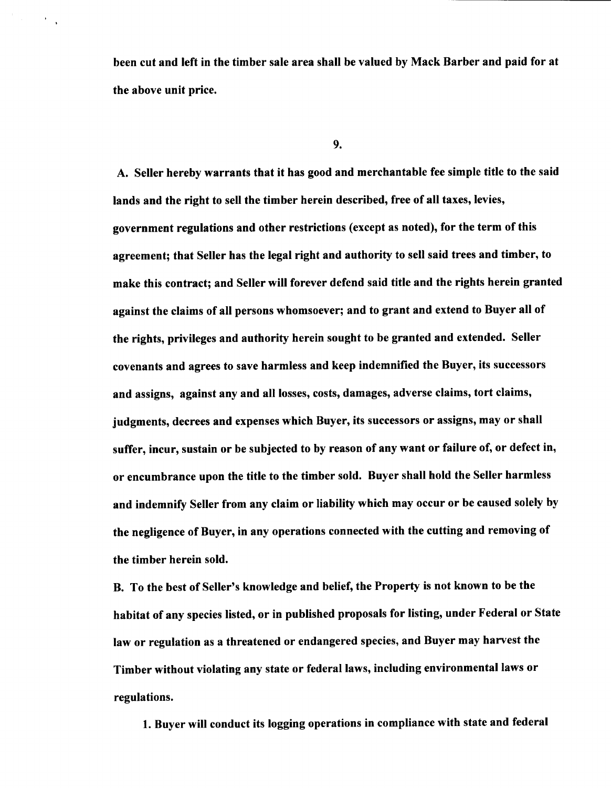been cut and left in the timber sale area shall be valued by Mack Barber and paid for at the above unit price.

 $\frac{1}{2}$  .

9.

A. Seller hereby warrants that it has good and merchantable fee simple title to the said lands and the right to sell the timber herein described, free of all taxes, levies, government regulations and other restrictions (except as noted), for the term of this agreement; that Seller has the legal right and authority to sell said trees and timber, to make this contract; and Seller will forever defend said title and the rights herein granted against the claims of all persons whomsoever; and to grant and extend to Buyer all of the rights, privileges and authority herein sought to be granted and extended. Seller covenants and agrees to save harmless and keep indemnified the Buyer, its successors and assigns, against any and all losses, costs, damages, adverse claims, tort claims, judgments, decrees and expenses which Buyer, its successors or assigns, may or shall suffer, incur, sustain or be subjected to by reason of any want or failure of, or defect in, or encumbrance upon the title to the timber sold. Buyer shall hold the Seller harmless and indemnify Seller from any claim or liability which may occur or be caused solely by the negligence of Buyer, in any operations connected with the cutting and removing of the timber herein sold.

B. To the best of Seller's knowledge and belief, the Property is not known to be the habitat of any species listed, or in published proposals for listing, under Federal or State law or regulation as a threatened or endangered species, and Buyer may harvest the Timber without violating any state or federal laws, including environmental laws or regulations.

1. Buyer will conduct its logging operations in compliance with state and federal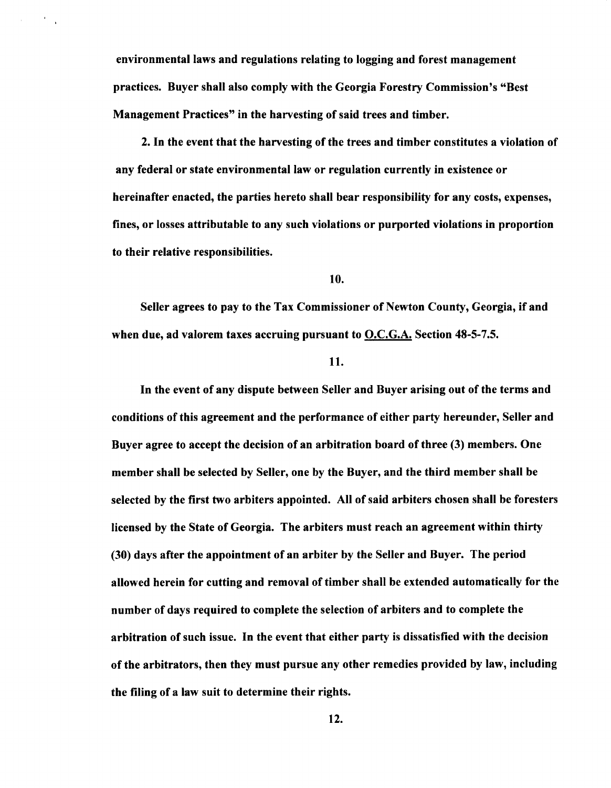environmental laws and regulations relating to logging and forest management practices. Buyer shall also comply with the Georgia Forestry Commission' s " Best Management Practices" in the harvesting of said trees and timber.

 $\alpha = 0.01$ 

2. In the event that the harvesting of the trees and timber constitutes a violation of any federal or state environmental law or regulation currently in existence or hereinafter enacted, the parties hereto shall bear responsibility for any costs, expenses, fines, or losses attributable to any such violations or purported violations in proportion to their relative responsibilities.

## 10.

Seller agrees to pay to the Tax Commissioner of Newton County, Georgia, if and when due, ad valorem taxes accruing pursuant to O.C.G.A. Section 48-5-7.5.

## 11.

In the event of any dispute between Seller and Buyer arising out of the terms and conditions of this agreement and the performance of either party hereunder, Seller and Buyer agree to accept the decision of an arbitration board of three (3) members. One member shall be selected by Seller, one by the Buyer, and the third member shall be selected by the first two arbiters appointed. All of said arbiters chosen shall be foresters licensed by the State of Georgia. The arbiters must reach an agreement within thirty 30) days after the appointment of an arbiter by the Seller and Buyer. The period allowed herein for cutting and removal of timber shall be extended automatically for the number of days required to complete the selection of arbiters and to complete the arbitration of such issue. In the event that either party is dissatisfied with the decision of the arbitrators, then they must pursue any other remedies provided by law, including the filing of a law suit to determine their rights.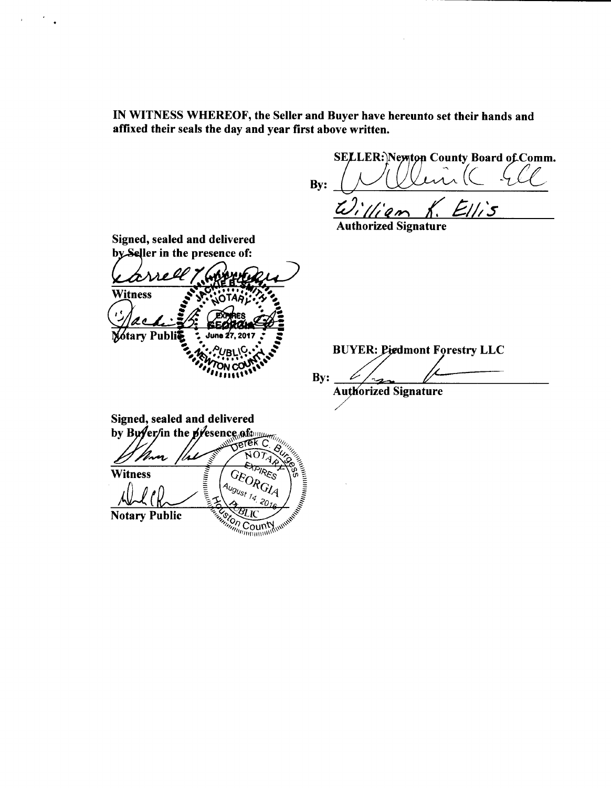IN WITNESS WHEREOF, the Seller and Buyer have hereunto set their hands and affixed their seals the day and year first above written.

SELLER: Newton County Board of Comm. By:

**Authorized Signature** 

Signed, sealed and delivered by Seller in the presence of:



**BUYER: Pigdmont Forestry LLC** By:

**Authorized Signature** 

Signed, sealed and delivered by Bufer/in the presence afterman **DETEK C EDUCATE NRES** GEORGIA itness willite August 14. **Notary Public**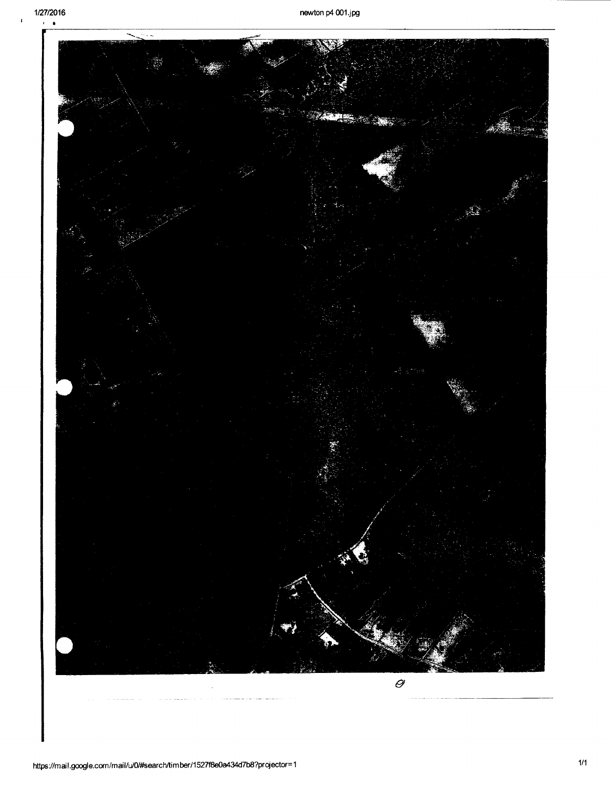$\pmb{\mathsf{I}}$